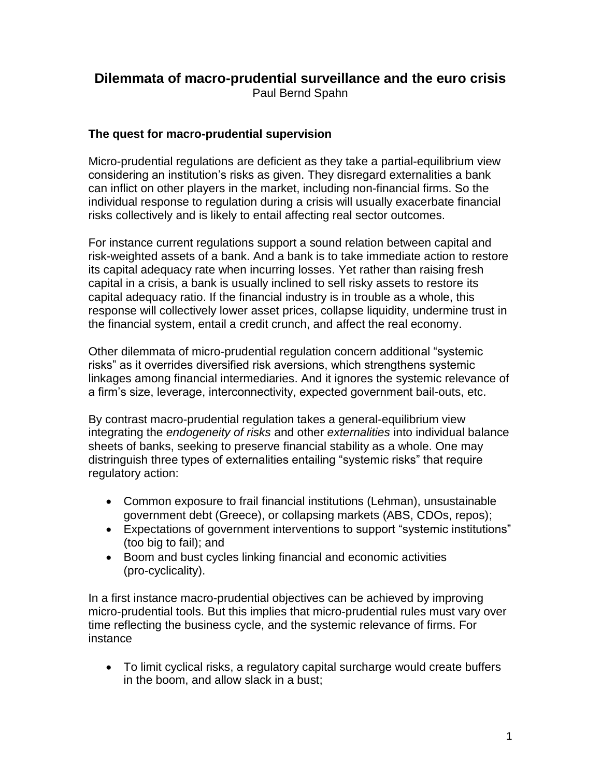# **Dilemmata of macro-prudential surveillance and the euro crisis** Paul Bernd Spahn

# **The quest for macro-prudential supervision**

Micro-prudential regulations are deficient as they take a partial-equilibrium view considering an institution's risks as given. They disregard externalities a bank can inflict on other players in the market, including non-financial firms. So the individual response to regulation during a crisis will usually exacerbate financial risks collectively and is likely to entail affecting real sector outcomes.

For instance current regulations support a sound relation between capital and risk-weighted assets of a bank. And a bank is to take immediate action to restore its capital adequacy rate when incurring losses. Yet rather than raising fresh capital in a crisis, a bank is usually inclined to sell risky assets to restore its capital adequacy ratio. If the financial industry is in trouble as a whole, this response will collectively lower asset prices, collapse liquidity, undermine trust in the financial system, entail a credit crunch, and affect the real economy.

Other dilemmata of micro-prudential regulation concern additional "systemic risks" as it overrides diversified risk aversions, which strengthens systemic linkages among financial intermediaries. And it ignores the systemic relevance of a firm's size, leverage, interconnectivity, expected government bail-outs, etc.

By contrast macro-prudential regulation takes a general-equilibrium view integrating the *endogeneity of risks* and other *externalities* into individual balance sheets of banks, seeking to preserve financial stability as a whole. One may distringuish three types of externalities entailing "systemic risks" that require regulatory action:

- Common exposure to frail financial institutions (Lehman), unsustainable government debt (Greece), or collapsing markets (ABS, CDOs, repos);
- Expectations of government interventions to support "systemic institutions" (too big to fail); and
- Boom and bust cycles linking financial and economic activities (pro-cyclicality).

In a first instance macro-prudential objectives can be achieved by improving micro-prudential tools. But this implies that micro-prudential rules must vary over time reflecting the business cycle, and the systemic relevance of firms. For instance

 To limit cyclical risks, a regulatory capital surcharge would create buffers in the boom, and allow slack in a bust;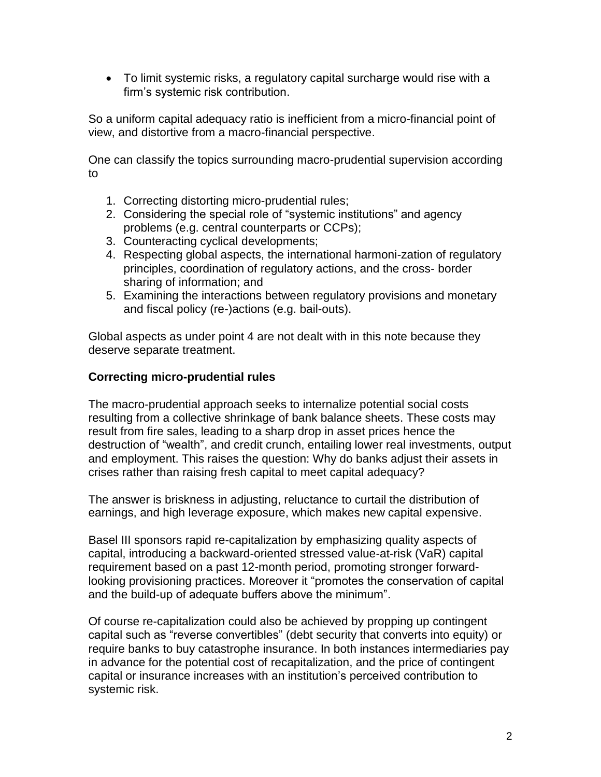To limit systemic risks, a regulatory capital surcharge would rise with a firm's systemic risk contribution.

So a uniform capital adequacy ratio is inefficient from a micro-financial point of view, and distortive from a macro-financial perspective.

One can classify the topics surrounding macro-prudential supervision according to

- 1. Correcting distorting micro-prudential rules;
- 2. Considering the special role of "systemic institutions" and agency problems (e.g. central counterparts or CCPs);
- 3. Counteracting cyclical developments;
- 4. Respecting global aspects, the international harmoni-zation of regulatory principles, coordination of regulatory actions, and the cross- border sharing of information; and
- 5. Examining the interactions between regulatory provisions and monetary and fiscal policy (re-)actions (e.g. bail-outs).

Global aspects as under point 4 are not dealt with in this note because they deserve separate treatment.

#### **Correcting micro-prudential rules**

The macro-prudential approach seeks to internalize potential social costs resulting from a collective shrinkage of bank balance sheets. These costs may result from fire sales, leading to a sharp drop in asset prices hence the destruction of "wealth", and credit crunch, entailing lower real investments, output and employment. This raises the question: Why do banks adjust their assets in crises rather than raising fresh capital to meet capital adequacy?

The answer is briskness in adjusting, reluctance to curtail the distribution of earnings, and high leverage exposure, which makes new capital expensive.

Basel III sponsors rapid re-capitalization by emphasizing quality aspects of capital, introducing a backward-oriented stressed value-at-risk (VaR) capital requirement based on a past 12-month period, promoting stronger forwardlooking provisioning practices. Moreover it "promotes the conservation of capital and the build-up of adequate buffers above the minimum".

Of course re-capitalization could also be achieved by propping up contingent capital such as "reverse convertibles" (debt security that converts into equity) or require banks to buy catastrophe insurance. In both instances intermediaries pay in advance for the potential cost of recapitalization, and the price of contingent capital or insurance increases with an institution's perceived contribution to systemic risk.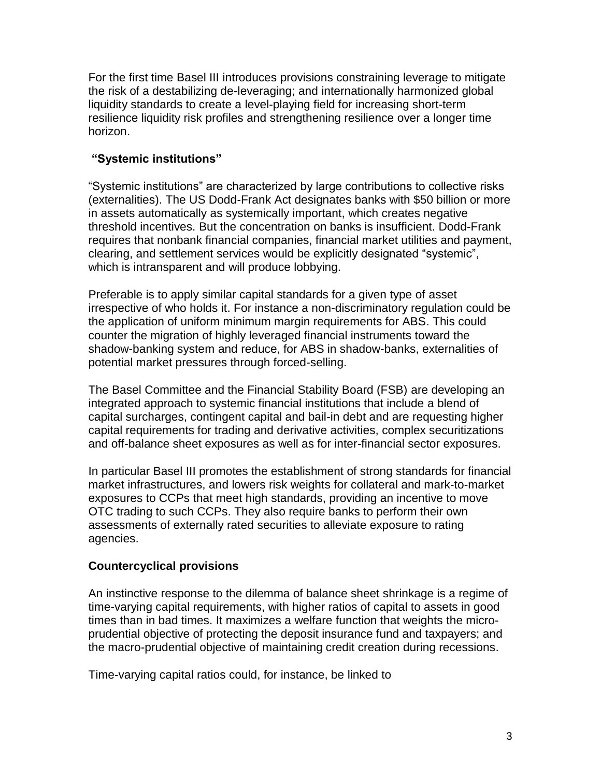For the first time Basel III introduces provisions constraining leverage to mitigate the risk of a destabilizing de-leveraging; and internationally harmonized global liquidity standards to create a level-playing field for increasing short-term resilience liquidity risk profiles and strengthening resilience over a longer time horizon.

### **"Systemic institutions"**

"Systemic institutions" are characterized by large contributions to collective risks (externalities). The US Dodd-Frank Act designates banks with \$50 billion or more in assets automatically as systemically important, which creates negative threshold incentives. But the concentration on banks is insufficient. Dodd-Frank requires that nonbank financial companies, financial market utilities and payment, clearing, and settlement services would be explicitly designated "systemic", which is intransparent and will produce lobbying.

Preferable is to apply similar capital standards for a given type of asset irrespective of who holds it. For instance a non-discriminatory regulation could be the application of uniform minimum margin requirements for ABS. This could counter the migration of highly leveraged financial instruments toward the shadow-banking system and reduce, for ABS in shadow-banks, externalities of potential market pressures through forced-selling.

The Basel Committee and the Financial Stability Board (FSB) are developing an integrated approach to systemic financial institutions that include a blend of capital surcharges, contingent capital and bail-in debt and are requesting higher capital requirements for trading and derivative activities, complex securitizations and off-balance sheet exposures as well as for inter-financial sector exposures.

In particular Basel III promotes the establishment of strong standards for financial market infrastructures, and lowers risk weights for collateral and mark-to-market exposures to CCPs that meet high standards, providing an incentive to move OTC trading to such CCPs. They also require banks to perform their own assessments of externally rated securities to alleviate exposure to rating agencies.

# **Countercyclical provisions**

An instinctive response to the dilemma of balance sheet shrinkage is a regime of time-varying capital requirements, with higher ratios of capital to assets in good times than in bad times. It maximizes a welfare function that weights the microprudential objective of protecting the deposit insurance fund and taxpayers; and the macro-prudential objective of maintaining credit creation during recessions.

Time-varying capital ratios could, for instance, be linked to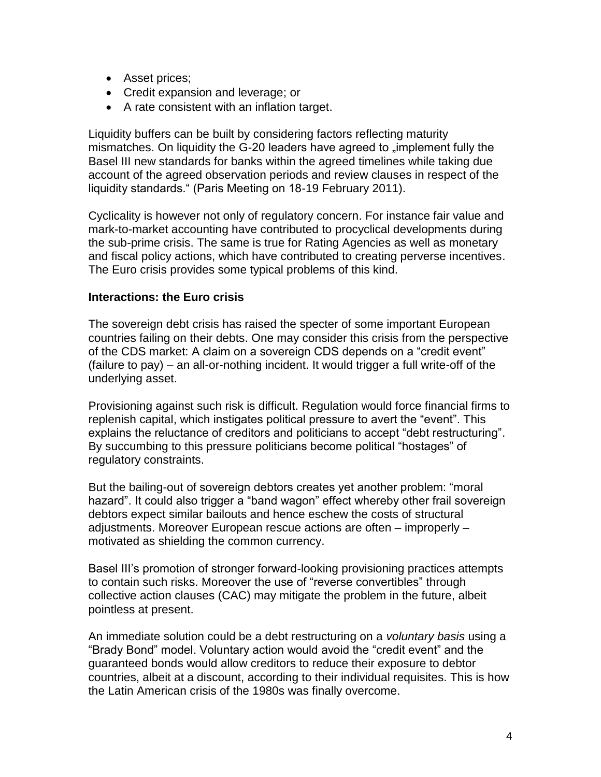- Asset prices;
- Credit expansion and leverage; or
- A rate consistent with an inflation target.

Liquidity buffers can be built by considering factors reflecting maturity mismatches. On liquidity the G-20 leaders have agreed to "implement fully the Basel III new standards for banks within the agreed timelines while taking due account of the agreed observation periods and review clauses in respect of the liquidity standards." (Paris Meeting on 18-19 February 2011).

Cyclicality is however not only of regulatory concern. For instance fair value and mark-to-market accounting have contributed to procyclical developments during the sub-prime crisis. The same is true for Rating Agencies as well as monetary and fiscal policy actions, which have contributed to creating perverse incentives. The Euro crisis provides some typical problems of this kind.

#### **Interactions: the Euro crisis**

The sovereign debt crisis has raised the specter of some important European countries failing on their debts. One may consider this crisis from the perspective of the CDS market: A claim on a sovereign CDS depends on a "credit event" (failure to pay) – an all-or-nothing incident. It would trigger a full write-off of the underlying asset.

Provisioning against such risk is difficult. Regulation would force financial firms to replenish capital, which instigates political pressure to avert the "event". This explains the reluctance of creditors and politicians to accept "debt restructuring". By succumbing to this pressure politicians become political "hostages" of regulatory constraints.

But the bailing-out of sovereign debtors creates yet another problem: "moral hazard". It could also trigger a "band wagon" effect whereby other frail sovereign debtors expect similar bailouts and hence eschew the costs of structural adjustments. Moreover European rescue actions are often – improperly – motivated as shielding the common currency.

Basel III's promotion of stronger forward-looking provisioning practices attempts to contain such risks. Moreover the use of "reverse convertibles" through collective action clauses (CAC) may mitigate the problem in the future, albeit pointless at present.

An immediate solution could be a debt restructuring on a *voluntary basis* using a "Brady Bond" model. Voluntary action would avoid the "credit event" and the guaranteed bonds would allow creditors to reduce their exposure to debtor countries, albeit at a discount, according to their individual requisites. This is how the Latin American crisis of the 1980s was finally overcome.